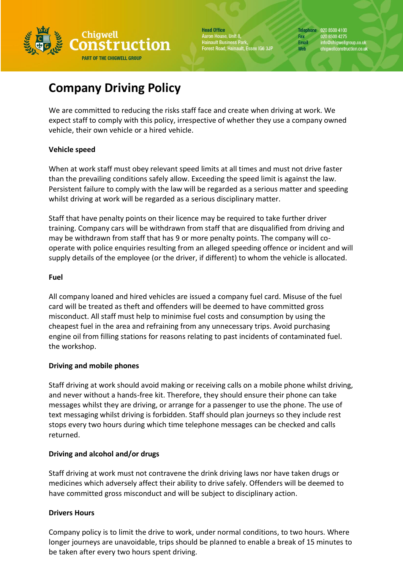

**Head Office** Aaron House, Unit 8, Hainault Business Park,<br>Hainault Business Park,<br>Forest Road, Hainault, Essex IG6 3JP Telephone 020 8500 4100 020 8500 4275 Fax Email info@chigwellgroup.co.uk<br>chigwellconstruction.co.uk **Web** 

# **Company Driving Policy**

We are committed to reducing the risks staff face and create when driving at work. We expect staff to comply with this policy, irrespective of whether they use a company owned vehicle, their own vehicle or a hired vehicle.

# **Vehicle speed**

When at work staff must obey relevant speed limits at all times and must not drive faster than the prevailing conditions safely allow. Exceeding the speed limit is against the law. Persistent failure to comply with the law will be regarded as a serious matter and speeding whilst driving at work will be regarded as a serious disciplinary matter.

Staff that have penalty points on their licence may be required to take further driver training. Company cars will be withdrawn from staff that are disqualified from driving and may be withdrawn from staff that has 9 or more penalty points. The company will cooperate with police enquiries resulting from an alleged speeding offence or incident and will supply details of the employee (or the driver, if different) to whom the vehicle is allocated.

## **Fuel**

All company loaned and hired vehicles are issued a company fuel card. Misuse of the fuel card will be treated as theft and offenders will be deemed to have committed gross misconduct. All staff must help to minimise fuel costs and consumption by using the cheapest fuel in the area and refraining from any unnecessary trips. Avoid purchasing engine oil from filling stations for reasons relating to past incidents of contaminated fuel. the workshop.

## **Driving and mobile phones**

Staff driving at work should avoid making or receiving calls on a mobile phone whilst driving, and never without a hands-free kit. Therefore, they should ensure their phone can take messages whilst they are driving, or arrange for a passenger to use the phone. The use of text messaging whilst driving is forbidden. Staff should plan journeys so they include rest stops every two hours during which time telephone messages can be checked and calls returned.

## **Driving and alcohol and/or drugs**

Staff driving at work must not contravene the drink driving laws nor have taken drugs or medicines which adversely affect their ability to drive safely. Offenders will be deemed to have committed gross misconduct and will be subject to disciplinary action.

# **Drivers Hours**

Company policy is to limit the drive to work, under normal conditions, to two hours. Where longer journeys are unavoidable, trips should be planned to enable a break of 15 minutes to be taken after every two hours spent driving.